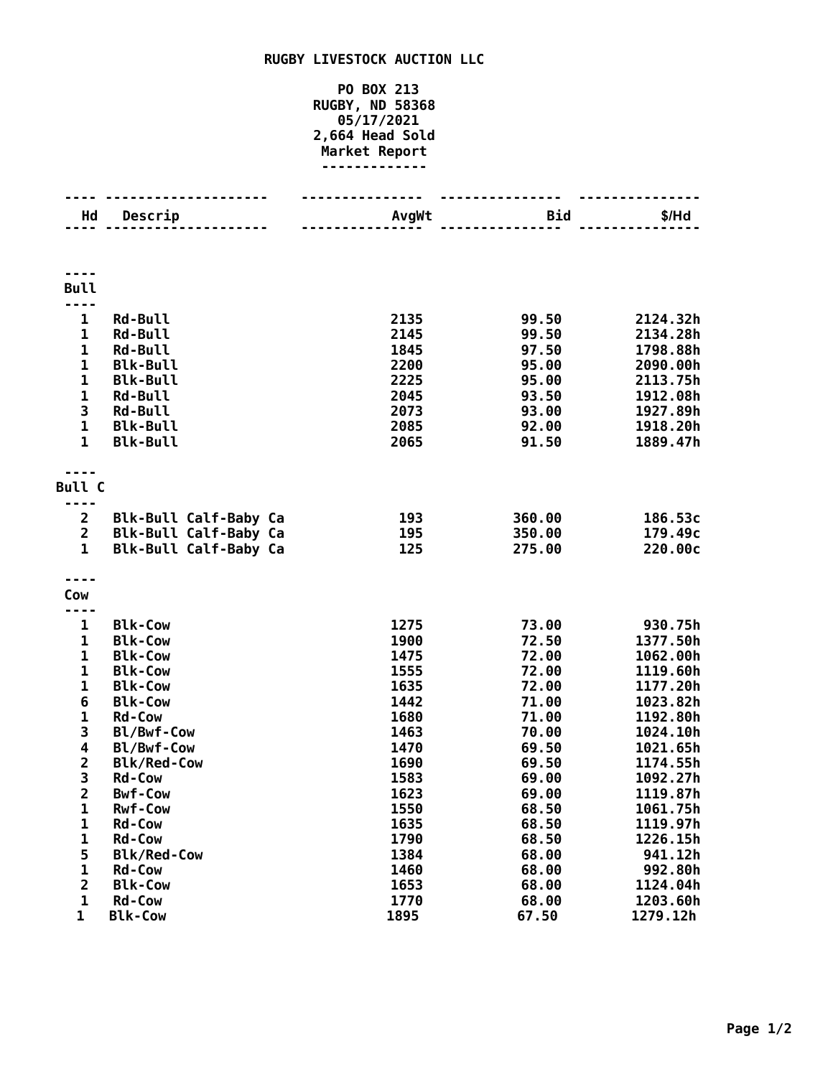## **RUGBY LIVESTOCK AUCTION LLC**

## **PO BOX 213 RUGBY, ND 58368 05/17/2021 2,664 Head Sold Market Report -------------**

| Hd                           | Descrip                                        | AvgWt        | Bid            | \$/Hd                |
|------------------------------|------------------------------------------------|--------------|----------------|----------------------|
|                              |                                                |              |                |                      |
|                              |                                                |              |                |                      |
|                              |                                                |              |                |                      |
| <b>Bull</b>                  |                                                |              |                |                      |
| $\sim$ $\sim$ $\sim$         |                                                |              |                |                      |
| $\mathbf 1$                  | <b>Rd-Bull</b>                                 | 2135         | 99.50          | 2124.32h             |
| 1                            | Rd-Bull                                        | 2145         | 99.50          | 2134.28h             |
| $\mathbf 1$                  | <b>Rd-Bull</b>                                 | 1845         | 97.50          | 1798.88h             |
| $\mathbf{1}$                 | <b>Blk-Bull</b>                                | 2200         | 95.00          | 2090.00h             |
| $\mathbf{1}$                 | <b>Blk-Bull</b>                                | 2225         | 95.00          | 2113.75h             |
| $\mathbf 1$                  | <b>Rd-Bull</b>                                 | 2045         | 93.50          | 1912.08h             |
| 3                            | <b>Rd-Bull</b>                                 | 2073         | 93.00          | 1927.89h             |
| $\overline{1}$               | <b>Blk-Bull</b>                                | 2085         | 92.00          | 1918.20h             |
| $\mathbf{1}$                 | <b>Blk-Bull</b>                                | 2065         | 91.50          | 1889.47h             |
|                              |                                                |              |                |                      |
|                              |                                                |              |                |                      |
| <b>Bull C</b>                |                                                |              |                |                      |
| ----<br>$\overline{2}$       |                                                |              | 360.00         | 186.53c              |
| $\overline{2}$               | Blk-Bull Calf-Baby Ca<br>Blk-Bull Calf-Baby Ca | 193<br>195   | 350.00         | 179.49c              |
| $\mathbf{1}$                 | Blk-Bull Calf-Baby Ca                          | 125          | 275.00         | 220.00c              |
|                              |                                                |              |                |                      |
|                              |                                                |              |                |                      |
| Cow                          |                                                |              |                |                      |
|                              |                                                |              |                |                      |
| 1                            | <b>Blk-Cow</b>                                 | 1275         | 73.00          | 930.75h              |
| 1                            | <b>Blk-Cow</b>                                 | 1900         | 72.50          | 1377.50h             |
| $\mathbf{1}$                 | <b>Blk-Cow</b>                                 | 1475         | 72.00          | 1062.00h             |
| $\mathbf 1$                  | <b>Blk-Cow</b>                                 | 1555         | 72.00          | 1119.60h             |
| $\mathbf 1$                  | <b>Blk-Cow</b>                                 | 1635         | 72.00          | 1177.20h             |
| 6                            | <b>Blk-Cow</b>                                 | 1442         | 71.00          | 1023.82h             |
| $\mathbf{1}$                 | <b>Rd-Cow</b>                                  | 1680         | 71.00          | 1192.80h             |
| 3                            | Bl/Bwf-Cow                                     | 1463         | 70.00          | 1024.10h             |
| 4                            | Bl/Bwf-Cow                                     | 1470         | 69.50          | 1021.65h             |
| $\overline{\mathbf{c}}$<br>3 | <b>Blk/Red-Cow</b>                             | 1690         | 69.50          | 1174.55h             |
| $\overline{\mathbf{c}}$      | <b>Rd-Cow</b><br><b>Bwf-Cow</b>                | 1583         | 69.00          | 1092.27h             |
| 1                            | <b>Rwf-Cow</b>                                 | 1623<br>1550 | 69.00<br>68.50 | 1119.87h<br>1061.75h |
| 1                            | <b>Rd-Cow</b>                                  | 1635         | 68.50          | 1119.97h             |
| 1                            | <b>Rd-Cow</b>                                  | 1790         | 68.50          | 1226.15h             |
| 5                            | <b>Blk/Red-Cow</b>                             | 1384         | 68.00          | 941.12h              |
| $\mathbf{1}$                 | <b>Rd-Cow</b>                                  | 1460         | 68.00          | 992.80h              |
| $\overline{\mathbf{c}}$      | <b>Blk-Cow</b>                                 | 1653         | 68.00          | 1124.04h             |
| $\mathbf{1}$                 | <b>Rd-Cow</b>                                  | 1770         | 68.00          | 1203.60h             |
| $\mathbf{1}$                 | <b>Blk-Cow</b>                                 | 1895         | 67.50          | 1279.12h             |